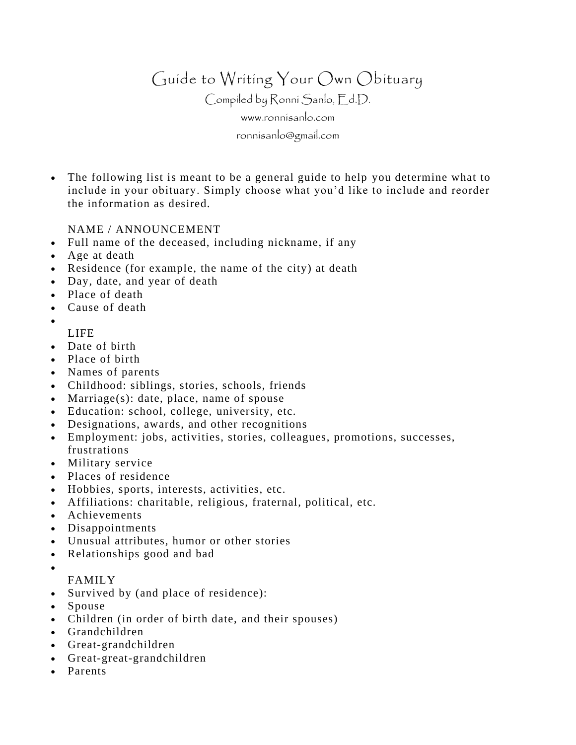Guide to Writing Your Own Obituary

Compiled by Ronni Sanlo, Ed.D.

[www.ronnisanlo.com](http://www.ronnisanlo.com/)

[ronnisanlo@gmail.com](mailto:ronnisanlo@gmail.com)

• The following list is meant to be a general guide to help you determine what to include in your obituary. Simply choose what you'd like to include and reorder the information as desired.

## NAME / ANNOUNCEMENT

- Full name of the deceased, including nickname, if any
- Age at death
- Residence (for example, the name of the city) at death
- Day, date, and year of death
- Place of death
- Cause of death
- •
- LIFE
- Date of birth
- Place of birth
- Names of parents
- Childhood: siblings, stories, schools, friends
- Marriage(s): date, place, name of spouse
- Education: school, college, university, etc.
- Designations, awards, and other recognitions
- Employment: jobs, activities, stories, colleagues, promotions, successes, frustrations
- Military service
- Places of residence
- Hobbies, sports, interests, activities, etc.
- Affiliations: charitable, religious, fraternal, political, etc.
- Achievements
- Disappointments
- Unusual attributes, humor or other stories
- Relationships good and bad
- •

## FAMILY

- Survived by (and place of residence):
- Spouse
- Children (in order of birth date, and their spouses)
- Grandchildren
- Great-grandchildren
- Great-great-grandchildren
- Parents